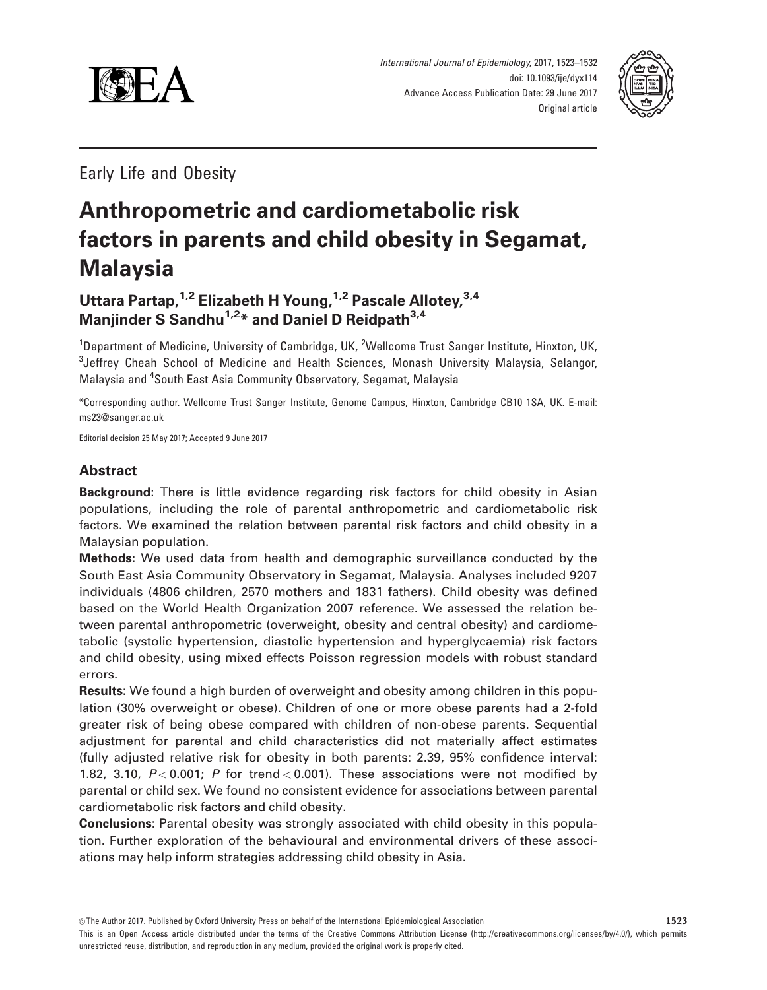



Early Life and Obesity

# Anthropometric and cardiometabolic risk factors in parents and child obesity in Segamat, Malaysia

## Uttara Partap,<sup>1,2</sup> Elizabeth H Young,<sup>1,2</sup> Pascale Allotey,<sup>3,4</sup> Manjinder S Sandhu<sup>1,2\*</sup> and Daniel D Reidpath<sup>3,4</sup>

<sup>1</sup>Department of Medicine, University of Cambridge, UK, <sup>2</sup>Wellcome Trust Sanger Institute, Hinxton, UK, 3 Jeffrey Cheah School of Medicine and Health Sciences, Monash University Malaysia, Selangor, Malaysia and <sup>4</sup>South East Asia Community Observatory, Segamat, Malaysia

\*Corresponding author. Wellcome Trust Sanger Institute, Genome Campus, Hinxton, Cambridge CB10 1SA, UK. E-mail: ms23@sanger.ac.uk

Editorial decision 25 May 2017; Accepted 9 June 2017

### Abstract

Background: There is little evidence regarding risk factors for child obesity in Asian populations, including the role of parental anthropometric and cardiometabolic risk factors. We examined the relation between parental risk factors and child obesity in a Malaysian population.

Methods: We used data from health and demographic surveillance conducted by the South East Asia Community Observatory in Segamat, Malaysia. Analyses included 9207 individuals (4806 children, 2570 mothers and 1831 fathers). Child obesity was defined based on the World Health Organization 2007 reference. We assessed the relation between parental anthropometric (overweight, obesity and central obesity) and cardiometabolic (systolic hypertension, diastolic hypertension and hyperglycaemia) risk factors and child obesity, using mixed effects Poisson regression models with robust standard errors.

Results: We found a high burden of overweight and obesity among children in this population (30% overweight or obese). Children of one or more obese parents had a 2-fold greater risk of being obese compared with children of non-obese parents. Sequential adjustment for parental and child characteristics did not materially affect estimates (fully adjusted relative risk for obesity in both parents: 2.39, 95% confidence interval: 1.82, 3.10,  $P < 0.001$ ; P for trend  $< 0.001$ ). These associations were not modified by parental or child sex. We found no consistent evidence for associations between parental cardiometabolic risk factors and child obesity.

Conclusions: Parental obesity was strongly associated with child obesity in this population. Further exploration of the behavioural and environmental drivers of these associations may help inform strategies addressing child obesity in Asia.

This is an Open Access article distributed under the terms of the Creative Commons Attribution License (http://creativecommons.org/licenses/by/4.0/), which permits unrestricted reuse, distribution, and reproduction in any medium, provided the original work is properly cited.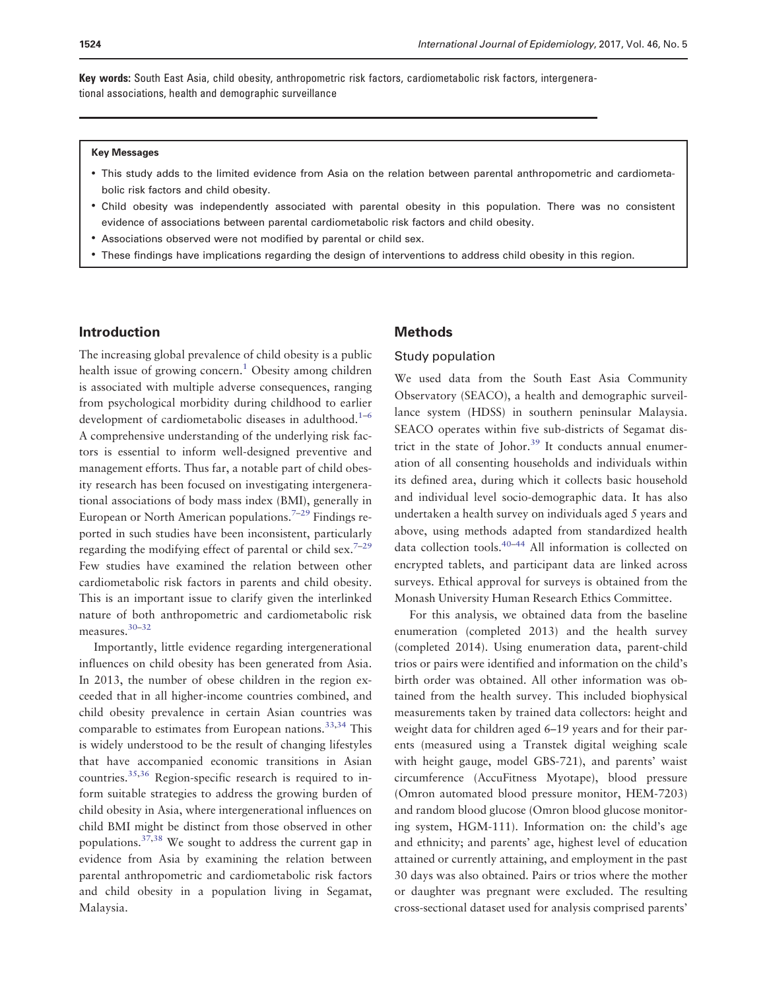Key words: South East Asia, child obesity, anthropometric risk factors, cardiometabolic risk factors, intergenerational associations, health and demographic surveillance

#### Key Messages

- This study adds to the limited evidence from Asia on the relation between parental anthropometric and cardiometabolic risk factors and child obesity.
- Child obesity was independently associated with parental obesity in this population. There was no consistent evidence of associations between parental cardiometabolic risk factors and child obesity.
- Associations observed were not modified by parental or child sex.
- These findings have implications regarding the design of interventions to address child obesity in this region.

#### Introduction

The increasing global prevalence of child obesity is a public health issue of growing concern.<sup>[1](#page-7-0)</sup> Obesity among children is associated with multiple adverse consequences, ranging from psychological morbidity during childhood to earlier development of cardiometabolic diseases in adulthood.<sup>1–6</sup> A comprehensive understanding of the underlying risk factors is essential to inform well-designed preventive and management efforts. Thus far, a notable part of child obesity research has been focused on investigating intergenerational associations of body mass index (BMI), generally in European or North American populations.<sup>[7–](#page-7-0)[29](#page-8-0)</sup> Findings reported in such studies have been inconsistent, particularly regarding the modifying effect of parental or child sex.<sup>7-29</sup> Few studies have examined the relation between other cardiometabolic risk factors in parents and child obesity. This is an important issue to clarify given the interlinked nature of both anthropometric and cardiometabolic risk measures[.30–32](#page-8-0)

Importantly, little evidence regarding intergenerational influences on child obesity has been generated from Asia. In 2013, the number of obese children in the region exceeded that in all higher-income countries combined, and child obesity prevalence in certain Asian countries was comparable to estimates from European nations.<sup>[33,34](#page-8-0)</sup> This is widely understood to be the result of changing lifestyles that have accompanied economic transitions in Asian countries[.35,36](#page-8-0) Region-specific research is required to inform suitable strategies to address the growing burden of child obesity in Asia, where intergenerational influences on child BMI might be distinct from those observed in other populations.[37,38](#page-8-0) We sought to address the current gap in evidence from Asia by examining the relation between parental anthropometric and cardiometabolic risk factors and child obesity in a population living in Segamat, Malaysia.

#### **Methods**

#### Study population

We used data from the South East Asia Community Observatory (SEACO), a health and demographic surveillance system (HDSS) in southern peninsular Malaysia. SEACO operates within five sub-districts of Segamat dis-trict in the state of Johor.<sup>[39](#page-8-0)</sup> It conducts annual enumeration of all consenting households and individuals within its defined area, during which it collects basic household and individual level socio-demographic data. It has also undertaken a health survey on individuals aged 5 years and above, using methods adapted from standardized health data collection tools.[40](#page-8-0)–[44](#page-8-0) All information is collected on encrypted tablets, and participant data are linked across surveys. Ethical approval for surveys is obtained from the Monash University Human Research Ethics Committee.

For this analysis, we obtained data from the baseline enumeration (completed 2013) and the health survey (completed 2014). Using enumeration data, parent-child trios or pairs were identified and information on the child's birth order was obtained. All other information was obtained from the health survey. This included biophysical measurements taken by trained data collectors: height and weight data for children aged 6–19 years and for their parents (measured using a Transtek digital weighing scale with height gauge, model GBS-721), and parents' waist circumference (AccuFitness Myotape), blood pressure (Omron automated blood pressure monitor, HEM-7203) and random blood glucose (Omron blood glucose monitoring system, HGM-111). Information on: the child's age and ethnicity; and parents' age, highest level of education attained or currently attaining, and employment in the past 30 days was also obtained. Pairs or trios where the mother or daughter was pregnant were excluded. The resulting cross-sectional dataset used for analysis comprised parents'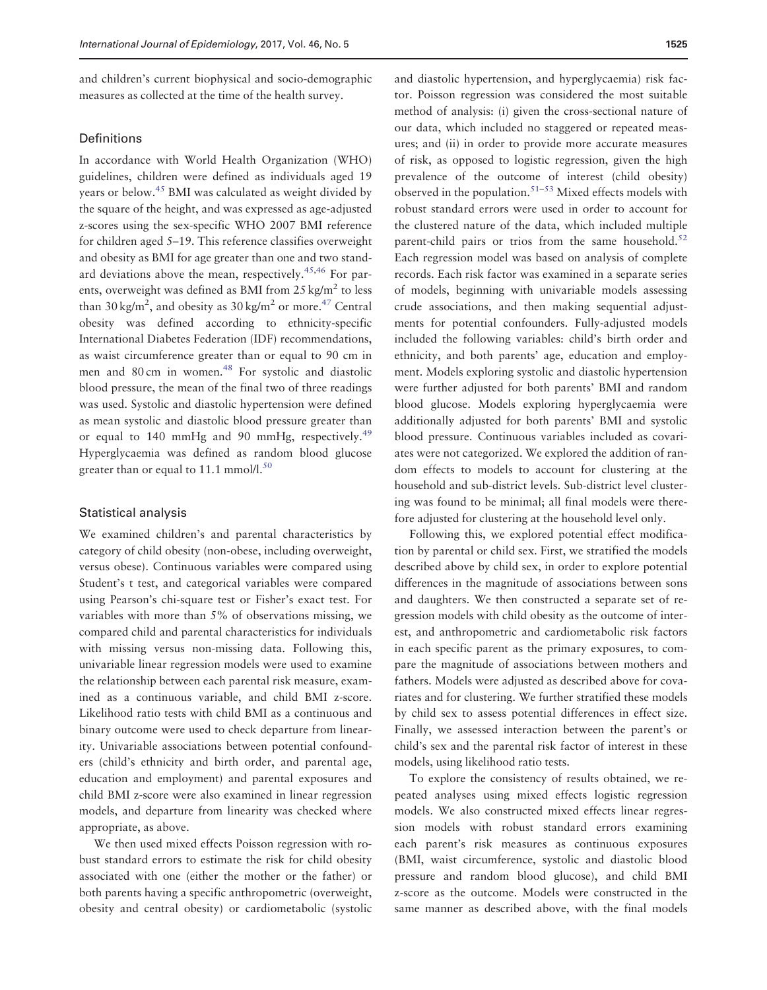and children's current biophysical and socio-demographic measures as collected at the time of the health survey.

#### **Definitions**

In accordance with World Health Organization (WHO) guidelines, children were defined as individuals aged 19 years or below.<sup>45</sup> BMI was calculated as weight divided by the square of the height, and was expressed as age-adjusted z-scores using the sex-specific WHO 2007 BMI reference for children aged 5–19. This reference classifies overweight and obesity as BMI for age greater than one and two stand-ard deviations above the mean, respectively.<sup>[45,46](#page-9-0)</sup> For parents, overweight was defined as BMI from  $25 \text{ kg/m}^2$  to less than 30 kg/m<sup>2</sup>, and obesity as 30 kg/m<sup>2</sup> or more.<sup>47</sup> Central obesity was defined according to ethnicity-specific International Diabetes Federation (IDF) recommendations, as waist circumference greater than or equal to 90 cm in men and 80 cm in women.<sup>48</sup> For systolic and diastolic blood pressure, the mean of the final two of three readings was used. Systolic and diastolic hypertension were defined as mean systolic and diastolic blood pressure greater than or equal to 140 mmHg and 90 mmHg, respectively.<sup>49</sup> Hyperglycaemia was defined as random blood glucose greater than or equal to 11.1 mmol/l.<sup>[50](#page-9-0)</sup>

#### Statistical analysis

We examined children's and parental characteristics by category of child obesity (non-obese, including overweight, versus obese). Continuous variables were compared using Student's t test, and categorical variables were compared using Pearson's chi-square test or Fisher's exact test. For variables with more than 5% of observations missing, we compared child and parental characteristics for individuals with missing versus non-missing data. Following this, univariable linear regression models were used to examine the relationship between each parental risk measure, examined as a continuous variable, and child BMI z-score. Likelihood ratio tests with child BMI as a continuous and binary outcome were used to check departure from linearity. Univariable associations between potential confounders (child's ethnicity and birth order, and parental age, education and employment) and parental exposures and child BMI z-score were also examined in linear regression models, and departure from linearity was checked where appropriate, as above.

We then used mixed effects Poisson regression with robust standard errors to estimate the risk for child obesity associated with one (either the mother or the father) or both parents having a specific anthropometric (overweight, obesity and central obesity) or cardiometabolic (systolic

and diastolic hypertension, and hyperglycaemia) risk factor. Poisson regression was considered the most suitable method of analysis: (i) given the cross-sectional nature of our data, which included no staggered or repeated measures; and (ii) in order to provide more accurate measures of risk, as opposed to logistic regression, given the high prevalence of the outcome of interest (child obesity) observed in the population.<sup>51–[53](#page-9-0)</sup> Mixed effects models with robust standard errors were used in order to account for the clustered nature of the data, which included multiple parent-child pairs or trios from the same household.<sup>52</sup> Each regression model was based on analysis of complete records. Each risk factor was examined in a separate series of models, beginning with univariable models assessing crude associations, and then making sequential adjustments for potential confounders. Fully-adjusted models included the following variables: child's birth order and ethnicity, and both parents' age, education and employment. Models exploring systolic and diastolic hypertension were further adjusted for both parents' BMI and random blood glucose. Models exploring hyperglycaemia were additionally adjusted for both parents' BMI and systolic blood pressure. Continuous variables included as covariates were not categorized. We explored the addition of random effects to models to account for clustering at the household and sub-district levels. Sub-district level clustering was found to be minimal; all final models were therefore adjusted for clustering at the household level only.

Following this, we explored potential effect modification by parental or child sex. First, we stratified the models described above by child sex, in order to explore potential differences in the magnitude of associations between sons and daughters. We then constructed a separate set of regression models with child obesity as the outcome of interest, and anthropometric and cardiometabolic risk factors in each specific parent as the primary exposures, to compare the magnitude of associations between mothers and fathers. Models were adjusted as described above for covariates and for clustering. We further stratified these models by child sex to assess potential differences in effect size. Finally, we assessed interaction between the parent's or child's sex and the parental risk factor of interest in these models, using likelihood ratio tests.

To explore the consistency of results obtained, we repeated analyses using mixed effects logistic regression models. We also constructed mixed effects linear regression models with robust standard errors examining each parent's risk measures as continuous exposures (BMI, waist circumference, systolic and diastolic blood pressure and random blood glucose), and child BMI z-score as the outcome. Models were constructed in the same manner as described above, with the final models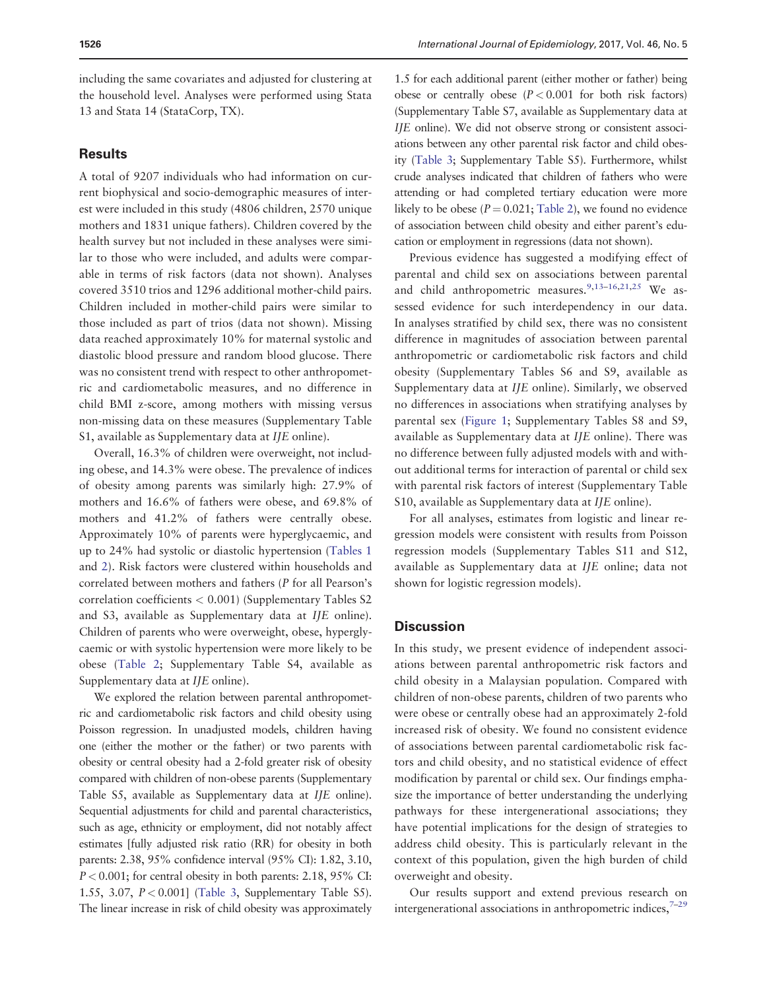including the same covariates and adjusted for clustering at the household level. Analyses were performed using Stata 13 and Stata 14 (StataCorp, TX).

#### **Results**

A total of 9207 individuals who had information on current biophysical and socio-demographic measures of interest were included in this study (4806 children, 2570 unique mothers and 1831 unique fathers). Children covered by the health survey but not included in these analyses were similar to those who were included, and adults were comparable in terms of risk factors (data not shown). Analyses covered 3510 trios and 1296 additional mother-child pairs. Children included in mother-child pairs were similar to those included as part of trios (data not shown). Missing data reached approximately 10% for maternal systolic and diastolic blood pressure and random blood glucose. There was no consistent trend with respect to other anthropometric and cardiometabolic measures, and no difference in child BMI z-score, among mothers with missing versus non-missing data on these measures (Supplementary Table S1, available as Supplementary data at IJE online).

Overall, 16.3% of children were overweight, not including obese, and 14.3% were obese. The prevalence of indices of obesity among parents was similarly high: 27.9% of mothers and 16.6% of fathers were obese, and 69.8% of mothers and 41.2% of fathers were centrally obese. Approximately 10% of parents were hyperglycaemic, and up to 24% had systolic or diastolic hypertension [\(Tables 1](#page-4-0) and [2](#page-5-0)). Risk factors were clustered within households and correlated between mothers and fathers (P for all Pearson's correlation coefficients < 0.001) (Supplementary Tables S2 and S3, available as Supplementary data at IJE online). Children of parents who were overweight, obese, hyperglycaemic or with systolic hypertension were more likely to be obese [\(Table 2;](#page-5-0) Supplementary Table S4, available as Supplementary data at IJE online).

We explored the relation between parental anthropometric and cardiometabolic risk factors and child obesity using Poisson regression. In unadjusted models, children having one (either the mother or the father) or two parents with obesity or central obesity had a 2-fold greater risk of obesity compared with children of non-obese parents (Supplementary Table S5, available as Supplementary data at IJE online). Sequential adjustments for child and parental characteristics, such as age, ethnicity or employment, did not notably affect estimates [fully adjusted risk ratio (RR) for obesity in both parents: 2.38, 95% confidence interval (95% CI): 1.82, 3.10,  $P < 0.001$ ; for central obesity in both parents: 2.18, 95% CI: 1.55, 3.07, P< 0.001] [\(Table 3,](#page-6-0) Supplementary Table S5). The linear increase in risk of child obesity was approximately

1.5 for each additional parent (either mother or father) being obese or centrally obese  $(P < 0.001$  for both risk factors) (Supplementary Table S7, available as Supplementary data at IJE online). We did not observe strong or consistent associations between any other parental risk factor and child obesity [\(Table 3;](#page-6-0) Supplementary Table S5). Furthermore, whilst crude analyses indicated that children of fathers who were attending or had completed tertiary education were more likely to be obese ( $P = 0.021$ ; [Table 2\)](#page-5-0), we found no evidence of association between child obesity and either parent's education or employment in regressions (data not shown).

Previous evidence has suggested a modifying effect of parental and child sex on associations between parental and child anthropometric measures.<sup>[9](#page-7-0)[,13](#page-8-0)-[16,21,25](#page-8-0)</sup> We assessed evidence for such interdependency in our data. In analyses stratified by child sex, there was no consistent difference in magnitudes of association between parental anthropometric or cardiometabolic risk factors and child obesity (Supplementary Tables S6 and S9, available as Supplementary data at IJE online). Similarly, we observed no differences in associations when stratifying analyses by parental sex [\(Figure 1](#page-6-0); Supplementary Tables S8 and S9, available as Supplementary data at IJE online). There was no difference between fully adjusted models with and without additional terms for interaction of parental or child sex with parental risk factors of interest (Supplementary Table S10, available as Supplementary data at IJE online).

For all analyses, estimates from logistic and linear regression models were consistent with results from Poisson regression models (Supplementary Tables S11 and S12, available as Supplementary data at IJE online; data not shown for logistic regression models).

#### **Discussion**

In this study, we present evidence of independent associations between parental anthropometric risk factors and child obesity in a Malaysian population. Compared with children of non-obese parents, children of two parents who were obese or centrally obese had an approximately 2-fold increased risk of obesity. We found no consistent evidence of associations between parental cardiometabolic risk factors and child obesity, and no statistical evidence of effect modification by parental or child sex. Our findings emphasize the importance of better understanding the underlying pathways for these intergenerational associations; they have potential implications for the design of strategies to address child obesity. This is particularly relevant in the context of this population, given the high burden of child overweight and obesity.

Our results support and extend previous research on intergenerational associations in anthropometric indices, $7-29$  $7-29$  $7-29$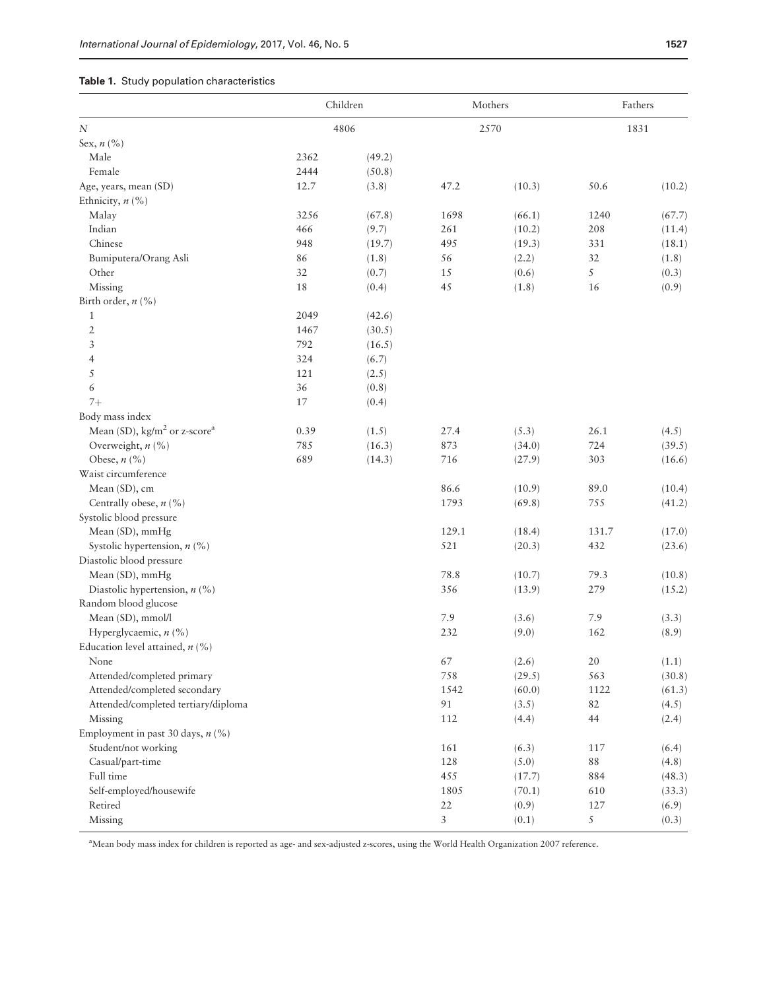<span id="page-4-0"></span>

|  |  |  | Table 1. Study population characteristics |
|--|--|--|-------------------------------------------|
|--|--|--|-------------------------------------------|

|                                                    | Children |        | Mothers        |        | Fathers        |        |
|----------------------------------------------------|----------|--------|----------------|--------|----------------|--------|
| $\cal N$                                           | 4806     |        | 2570           |        | 1831           |        |
| Sex, $n\left(\frac{9}{6}\right)$                   |          |        |                |        |                |        |
| Male                                               | 2362     | (49.2) |                |        |                |        |
| Female                                             | 2444     | (50.8) |                |        |                |        |
| Age, years, mean (SD)                              | 12.7     | (3.8)  | 47.2           | (10.3) | 50.6           | (10.2) |
| Ethnicity, $n$ (%)                                 |          |        |                |        |                |        |
| Malay                                              | 3256     | (67.8) | 1698           | (66.1) | 1240           | (67.7) |
| Indian                                             | 466      | (9.7)  | 261            | (10.2) | 208            | (11.4) |
| Chinese                                            | 948      | (19.7) | 495            | (19.3) | 331            | (18.1) |
| Bumiputera/Orang Asli                              | 86       | (1.8)  | 56             | (2.2)  | 32             | (1.8)  |
| Other                                              | 32       | (0.7)  | 15             | (0.6)  | $\mathfrak{S}$ | (0.3)  |
| Missing                                            | 18       | (0.4)  | 45             | (1.8)  | 16             | (0.9)  |
| Birth order, $n$ (%)                               |          |        |                |        |                |        |
| $\mathbf{1}$                                       | 2049     | (42.6) |                |        |                |        |
| $\overline{2}$                                     | 1467     | (30.5) |                |        |                |        |
| 3                                                  | 792      | (16.5) |                |        |                |        |
| $\overline{4}$                                     | 324      | (6.7)  |                |        |                |        |
| 5                                                  | 121      | (2.5)  |                |        |                |        |
| 6                                                  | 36       | (0.8)  |                |        |                |        |
| $7\mathrm{+}$                                      | $17\,$   | (0.4)  |                |        |                |        |
| Body mass index                                    |          |        |                |        |                |        |
| Mean (SD), $\text{kg/m}^2$ or z-score <sup>a</sup> | 0.39     | (1.5)  | 27.4           | (5.3)  | 26.1           | (4.5)  |
| Overweight, $n$ (%)                                | 785      | (16.3) | 873            | (34.0) | 724            | (39.5) |
| Obese, $n$ (%)                                     | 689      | (14.3) | 716            | (27.9) | 303            | (16.6) |
| Waist circumference                                |          |        |                |        |                |        |
| Mean (SD), cm                                      |          |        | 86.6           | (10.9) | 89.0           | (10.4) |
| Centrally obese, $n$ (%)                           |          |        | 1793           | (69.8) | 755            | (41.2) |
| Systolic blood pressure                            |          |        |                |        |                |        |
| Mean (SD), mmHg                                    |          |        | 129.1          | (18.4) | 131.7          | (17.0) |
| Systolic hypertension, $n$ (%)                     |          |        | 521            | (20.3) | 432            | (23.6) |
| Diastolic blood pressure                           |          |        |                |        |                |        |
| Mean (SD), mmHg                                    |          |        | 78.8           | (10.7) | 79.3           | (10.8) |
| Diastolic hypertension, $n$ (%)                    |          |        | 356            | (13.9) | 279            | (15.2) |
| Random blood glucose                               |          |        |                |        |                |        |
| Mean (SD), mmol/l                                  |          |        | 7.9            | (3.6)  | 7.9            | (3.3)  |
| Hyperglycaemic, $n$ (%)                            |          |        | 232            | (9.0)  | 162            | (8.9)  |
| Education level attained, $n$ (%)                  |          |        |                |        |                |        |
| None                                               |          |        | 67             | (2.6)  | 20             | (1.1)  |
| Attended/completed primary                         |          |        | 758            | (29.5) | 563            | (30.8) |
| Attended/completed secondary                       |          |        | 1542           | (60.0) | 1122           | (61.3) |
| Attended/completed tertiary/diploma                |          |        | 91             | (3.5)  | 82             | (4.5)  |
| Missing                                            |          |        | 112            | (4.4)  | 44             | (2.4)  |
| Employment in past 30 days, $n$ (%)                |          |        |                |        |                |        |
| Student/not working                                |          |        | 161            | (6.3)  | 117            | (6.4)  |
| Casual/part-time                                   |          |        | 128            | (5.0)  | $8\,8$         | (4.8)  |
| Full time                                          |          |        | 455            | (17.7) | 884            | (48.3) |
| Self-employed/housewife                            |          |        | 1805           | (70.1) | 610            | (33.3) |
| Retired                                            |          |        | 22             | (0.9)  | 127            | (6.9)  |
| Missing                                            |          |        | $\mathfrak{Z}$ | (0.1)  | $\mathfrak{S}$ | (0.3)  |
|                                                    |          |        |                |        |                |        |

a Mean body mass index for children is reported as age- and sex-adjusted z-scores, using the World Health Organization 2007 reference.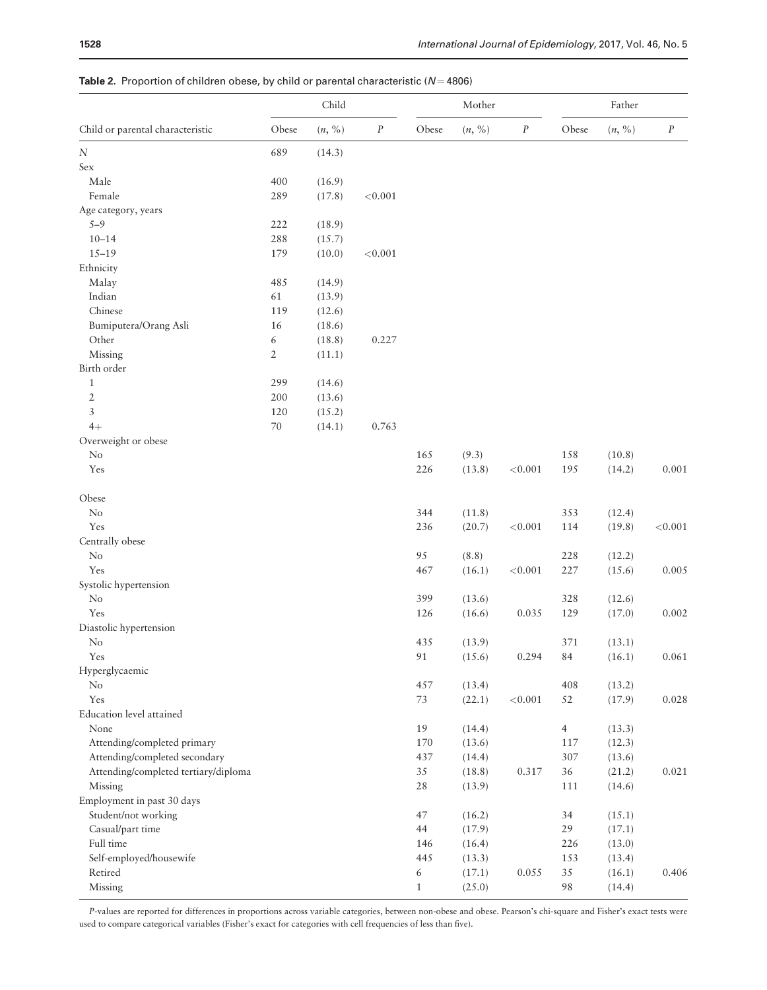#### <span id="page-5-0"></span>Table 2. Proportion of children obese, by child or parental characteristic ( $N = 4806$ )

|                                      | Child          |        |            | Mother       |        |            | Father   |        |          |
|--------------------------------------|----------------|--------|------------|--------------|--------|------------|----------|--------|----------|
| Child or parental characteristic     | Obese          | (n, %) | $\cal P$   | Obese        | (n, %) | $\cal P$   | Obese    | (n, %) | $\cal P$ |
| $\cal N$                             | 689            | (14.3) |            |              |        |            |          |        |          |
| Sex                                  |                |        |            |              |        |            |          |        |          |
| Male                                 | 400            | (16.9) |            |              |        |            |          |        |          |
| Female                               | 289            | (17.8) | ${<}0.001$ |              |        |            |          |        |          |
| Age category, years                  |                |        |            |              |        |            |          |        |          |
| $5 - 9$                              | 222            | (18.9) |            |              |        |            |          |        |          |
| $10 - 14$                            | 288            | (15.7) |            |              |        |            |          |        |          |
| $15 - 19$                            | 179            | (10.0) | ${<}0.001$ |              |        |            |          |        |          |
| Ethnicity                            |                |        |            |              |        |            |          |        |          |
| Malay                                | 485            | (14.9) |            |              |        |            |          |        |          |
| Indian                               | 61             | (13.9) |            |              |        |            |          |        |          |
| Chinese                              | 119            | (12.6) |            |              |        |            |          |        |          |
| Bumiputera/Orang Asli                | 16             | (18.6) |            |              |        |            |          |        |          |
| Other                                | 6              | (18.8) | 0.227      |              |        |            |          |        |          |
| Missing                              | $\overline{2}$ | (11.1) |            |              |        |            |          |        |          |
| Birth order                          |                |        |            |              |        |            |          |        |          |
| $\mathbf{1}$                         | 299            | (14.6) |            |              |        |            |          |        |          |
| $\overline{2}$                       | 200            | (13.6) |            |              |        |            |          |        |          |
| 3                                    | 120            | (15.2) |            |              |        |            |          |        |          |
| $4+$                                 | 70             | (14.1) | 0.763      |              |        |            |          |        |          |
| Overweight or obese                  |                |        |            |              |        |            |          |        |          |
| $\rm No$                             |                |        |            | 165          | (9.3)  |            | 158      | (10.8) |          |
| Yes                                  |                |        |            | 226          | (13.8) | ${<}0.001$ | 195      | (14.2) | 0.001    |
| Obese                                |                |        |            |              |        |            |          |        |          |
| $\rm No$                             |                |        |            | 344          | (11.8) |            | 353      | (12.4) |          |
| Yes                                  |                |        |            | 236          | (20.7) | < 0.001    | 114      | (19.8) | < 0.001  |
| Centrally obese                      |                |        |            |              |        |            |          |        |          |
| No                                   |                |        |            | 95           | (8.8)  |            | 228      | (12.2) |          |
| Yes                                  |                |        |            | 467          | (16.1) | ${<}0.001$ | 227      | (15.6) | 0.005    |
| Systolic hypertension                |                |        |            |              |        |            |          |        |          |
| No                                   |                |        |            | 399          | (13.6) |            | 328      | (12.6) |          |
| Yes                                  |                |        |            | 126          | (16.6) | 0.035      | 129      | (17.0) | 0.002    |
| Diastolic hypertension               |                |        |            |              |        |            |          |        |          |
| No                                   |                |        |            | 435          | (13.9) |            | 371      | (13.1) |          |
| Yes                                  |                |        |            | 91           | (15.6) | 0.294      | $\bf 84$ | (16.1) | 0.061    |
| Hyperglycaemic                       |                |        |            |              |        |            |          |        |          |
| $\rm No$                             |                |        |            | 457          | (13.4) |            | 408      | (13.2) |          |
| Yes                                  |                |        |            | $73\,$       | (22.1) | ${<}0.001$ | 52       | (17.9) | 0.028    |
| Education level attained             |                |        |            |              |        |            |          |        |          |
| None                                 |                |        |            | 19           | (14.4) |            | 4        | (13.3) |          |
| Attending/completed primary          |                |        |            | 170          | (13.6) |            | 117      | (12.3) |          |
| Attending/completed secondary        |                |        |            | 437          | (14.4) |            | 307      | (13.6) |          |
| Attending/completed tertiary/diploma |                |        |            | 35           | (18.8) | 0.317      | $36\,$   | (21.2) | 0.021    |
| Missing                              |                |        |            | 28           | (13.9) |            | 111      | (14.6) |          |
| Employment in past 30 days           |                |        |            |              |        |            |          |        |          |
| Student/not working                  |                |        |            | 47           | (16.2) |            | 34       | (15.1) |          |
| Casual/part time                     |                |        |            | 44           | (17.9) |            | $29\,$   | (17.1) |          |
| Full time                            |                |        |            | 146          | (16.4) |            | 226      | (13.0) |          |
| Self-employed/housewife              |                |        |            | 445          | (13.3) |            | 153      | (13.4) |          |
| Retired                              |                |        |            | 6            | (17.1) | 0.055      | $35\,$   | (16.1) | 0.406    |
| Missing                              |                |        |            | $\mathbf{1}$ | (25.0) |            | $98\,$   | (14.4) |          |

P-values are reported for differences in proportions across variable categories, between non-obese and obese. Pearson's chi-square and Fisher's exact tests were used to compare categorical variables (Fisher's exact for categories with cell frequencies of less than five).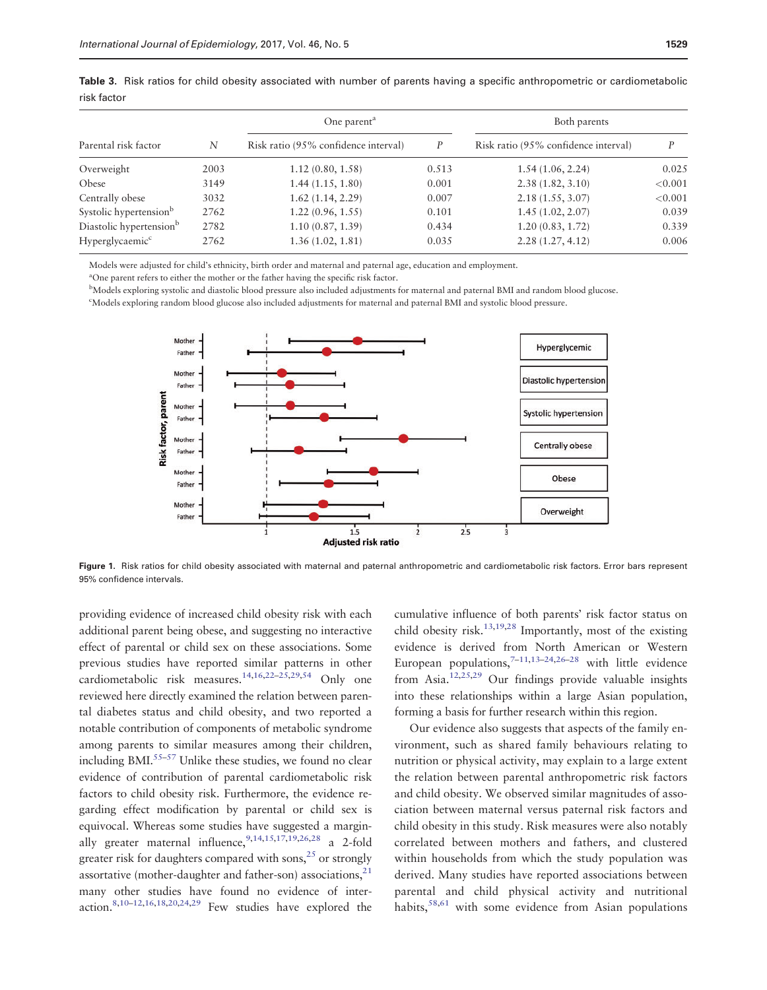|                                     |      | One parent <sup>a</sup>              |       | Both parents                         |         |  |
|-------------------------------------|------|--------------------------------------|-------|--------------------------------------|---------|--|
| Parental risk factor                | N    | Risk ratio (95% confidence interval) | P     | Risk ratio (95% confidence interval) | P       |  |
| Overweight                          | 2003 | 1.12(0.80, 1.58)                     | 0.513 | 1.54(1.06, 2.24)                     | 0.025   |  |
| Obese                               | 3149 | 1.44(1.15, 1.80)                     | 0.001 | 2.38(1.82, 3.10)                     | < 0.001 |  |
| Centrally obese                     | 3032 | 1.62(1.14, 2.29)                     | 0.007 | 2.18(1.55, 3.07)                     | < 0.001 |  |
| Systolic hypertension <sup>b</sup>  | 2762 | 1.22(0.96, 1.55)                     | 0.101 | 1.45(1.02, 2.07)                     | 0.039   |  |
| Diastolic hypertension <sup>b</sup> | 2782 | 1.10(0.87, 1.39)                     | 0.434 | 1.20(0.83, 1.72)                     | 0.339   |  |
| Hyperglycaemic <sup>c</sup>         | 2762 | 1.36(1.02, 1.81)                     | 0.035 | 2.28(1.27, 4.12)                     | 0.006   |  |

<span id="page-6-0"></span>Table 3. Risk ratios for child obesity associated with number of parents having a specific anthropometric or cardiometabolic risk factor

Models were adjusted for child's ethnicity, birth order and maternal and paternal age, education and employment.

<sup>a</sup>One parent refers to either the mother or the father having the specific risk factor.

b Models exploring systolic and diastolic blood pressure also included adjustments for maternal and paternal BMI and random blood glucose.

c Models exploring random blood glucose also included adjustments for maternal and paternal BMI and systolic blood pressure.



Figure 1. Risk ratios for child obesity associated with maternal and paternal anthropometric and cardiometabolic risk factors. Error bars represent 95% confidence intervals.

providing evidence of increased child obesity risk with each additional parent being obese, and suggesting no interactive effect of parental or child sex on these associations. Some previous studies have reported similar patterns in other cardiometabolic risk measures[.14,16,22](#page-8-0)–[25,29](#page-8-0)[,54](#page-9-0) Only one reviewed here directly examined the relation between parental diabetes status and child obesity, and two reported a notable contribution of components of metabolic syndrome among parents to similar measures among their children, including  $BMI$ <sup>55–57</sup> Unlike these studies, we found no clear evidence of contribution of parental cardiometabolic risk factors to child obesity risk. Furthermore, the evidence regarding effect modification by parental or child sex is equivocal. Whereas some studies have suggested a marginally greater maternal influence,  $9,14,15,17,19,26,28$  $9,14,15,17,19,26,28$  a 2-fold greater risk for daughters compared with sons, $25$  or strongly assortative (mother-daughter and father-son) associations, $^{21}$  $^{21}$  $^{21}$ many other studies have found no evidence of interaction.[8,10](#page-7-0)[–12,16,18,20,24,29](#page-8-0) Few studies have explored the

cumulative influence of both parents' risk factor status on child obesity risk.<sup>13,19,28</sup> Importantly, most of the existing evidence is derived from North American or Western European populations,  $7-11,13-24,26-28$  $7-11,13-24,26-28$  $7-11,13-24,26-28$  $7-11,13-24,26-28$  $7-11,13-24,26-28$  with little evidence from Asia.[12,25,29](#page-8-0) Our findings provide valuable insights into these relationships within a large Asian population, forming a basis for further research within this region.

Our evidence also suggests that aspects of the family environment, such as shared family behaviours relating to nutrition or physical activity, may explain to a large extent the relation between parental anthropometric risk factors and child obesity. We observed similar magnitudes of association between maternal versus paternal risk factors and child obesity in this study. Risk measures were also notably correlated between mothers and fathers, and clustered within households from which the study population was derived. Many studies have reported associations between parental and child physical activity and nutritional habits,<sup>[58,61](#page-9-0)</sup> with some evidence from Asian populations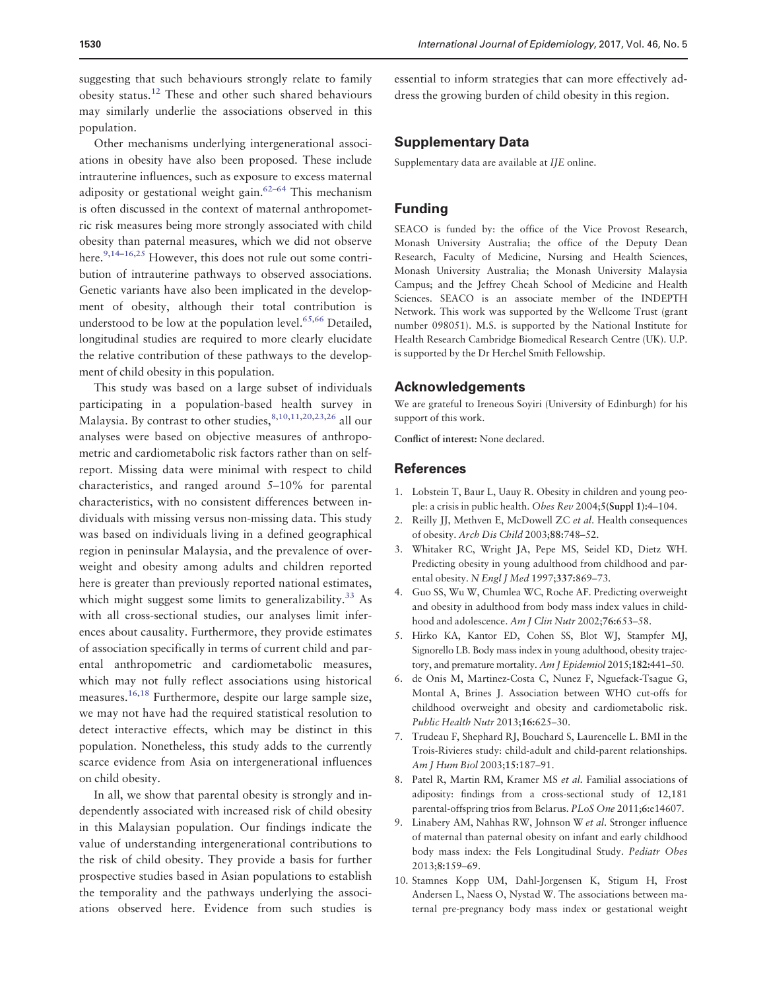<span id="page-7-0"></span>suggesting that such behaviours strongly relate to family obesity status.[12](#page-8-0) These and other such shared behaviours may similarly underlie the associations observed in this population.

Other mechanisms underlying intergenerational associations in obesity have also been proposed. These include intrauterine influences, such as exposure to excess maternal adiposity or gestational weight gain[.62–64](#page-9-0) This mechanism is often discussed in the context of maternal anthropometric risk measures being more strongly associated with child obesity than paternal measures, which we did not observe here.<sup>9[,14–16,25](#page-8-0)</sup> However, this does not rule out some contribution of intrauterine pathways to observed associations. Genetic variants have also been implicated in the development of obesity, although their total contribution is understood to be low at the population level. $65,66$  Detailed, longitudinal studies are required to more clearly elucidate the relative contribution of these pathways to the development of child obesity in this population.

This study was based on a large subset of individuals participating in a population-based health survey in Malaysia. By contrast to other studies,  $8,10,11,20,23,26$  $8,10,11,20,23,26$  all our analyses were based on objective measures of anthropometric and cardiometabolic risk factors rather than on selfreport. Missing data were minimal with respect to child characteristics, and ranged around 5–10% for parental characteristics, with no consistent differences between individuals with missing versus non-missing data. This study was based on individuals living in a defined geographical region in peninsular Malaysia, and the prevalence of overweight and obesity among adults and children reported here is greater than previously reported national estimates, which might suggest some limits to generalizability.<sup>[33](#page-8-0)</sup> As with all cross-sectional studies, our analyses limit inferences about causality. Furthermore, they provide estimates of association specifically in terms of current child and parental anthropometric and cardiometabolic measures, which may not fully reflect associations using historical measures[.16,18](#page-8-0) Furthermore, despite our large sample size, we may not have had the required statistical resolution to detect interactive effects, which may be distinct in this population. Nonetheless, this study adds to the currently scarce evidence from Asia on intergenerational influences on child obesity.

In all, we show that parental obesity is strongly and independently associated with increased risk of child obesity in this Malaysian population. Our findings indicate the value of understanding intergenerational contributions to the risk of child obesity. They provide a basis for further prospective studies based in Asian populations to establish the temporality and the pathways underlying the associations observed here. Evidence from such studies is essential to inform strategies that can more effectively address the growing burden of child obesity in this region.

#### Supplementary Data

Supplementary data are available at IJE online.

#### Funding

SEACO is funded by: the office of the Vice Provost Research, Monash University Australia; the office of the Deputy Dean Research, Faculty of Medicine, Nursing and Health Sciences, Monash University Australia; the Monash University Malaysia Campus; and the Jeffrey Cheah School of Medicine and Health Sciences. SEACO is an associate member of the INDEPTH Network. This work was supported by the Wellcome Trust (grant number 098051). M.S. is supported by the National Institute for Health Research Cambridge Biomedical Research Centre (UK). U.P. is supported by the Dr Herchel Smith Fellowship.

#### Acknowledgements

We are grateful to Ireneous Soyiri (University of Edinburgh) for his support of this work.

Conflict of interest: None declared.

#### References

- 1. Lobstein T, Baur L, Uauy R. Obesity in children and young people: a crisis in public health. Obes Rev 2004;5(Suppl 1):4–104.
- 2. Reilly JJ, Methven E, McDowell ZC et al. Health consequences of obesity. Arch Dis Child 2003;88:748–52.
- 3. Whitaker RC, Wright JA, Pepe MS, Seidel KD, Dietz WH. Predicting obesity in young adulthood from childhood and parental obesity. N Engl J Med 1997;337:869–73.
- 4. Guo SS, Wu W, Chumlea WC, Roche AF. Predicting overweight and obesity in adulthood from body mass index values in childhood and adolescence. Am J Clin Nutr 2002;76:653-58.
- 5. Hirko KA, Kantor ED, Cohen SS, Blot WJ, Stampfer MJ, Signorello LB. Body mass index in young adulthood, obesity trajectory, and premature mortality. Am J Epidemiol 2015;182:441-50.
- 6. de Onis M, Martinez-Costa C, Nunez F, Nguefack-Tsague G, Montal A, Brines J. Association between WHO cut-offs for childhood overweight and obesity and cardiometabolic risk. Public Health Nutr 2013;16:625–30.
- 7. Trudeau F, Shephard RJ, Bouchard S, Laurencelle L. BMI in the Trois-Rivieres study: child-adult and child-parent relationships. Am J Hum Biol 2003;15:187–91.
- 8. Patel R, Martin RM, Kramer MS et al. Familial associations of adiposity: findings from a cross-sectional study of 12,181 parental-offspring trios from Belarus. PLoS One 2011;6:e14607.
- 9. Linabery AM, Nahhas RW, Johnson W et al. Stronger influence of maternal than paternal obesity on infant and early childhood body mass index: the Fels Longitudinal Study. Pediatr Obes 2013;8:159–69.
- 10. Stamnes Kopp UM, Dahl-Jorgensen K, Stigum H, Frost Andersen L, Naess O, Nystad W. The associations between maternal pre-pregnancy body mass index or gestational weight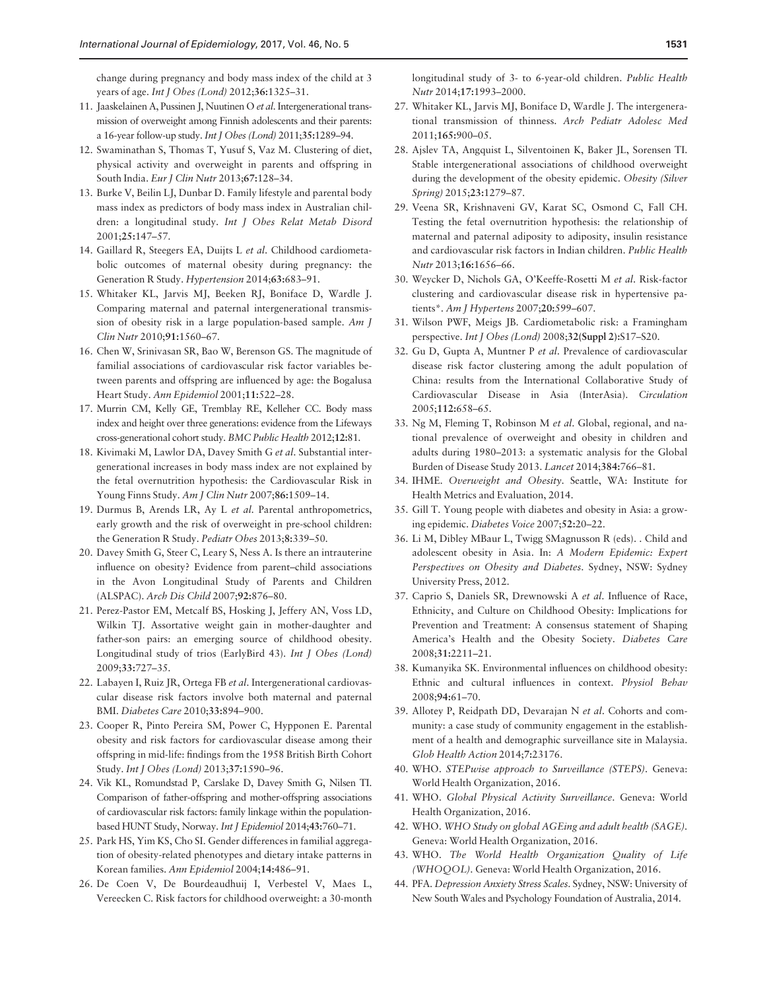<span id="page-8-0"></span>change during pregnancy and body mass index of the child at 3 years of age. Int J Obes (Lond) 2012;36:1325–31.

- 11. Jaaskelainen A, Pussinen J, Nuutinen O et al. Intergenerational transmission of overweight among Finnish adolescents and their parents: a 16-year follow-up study. Int J Obes (Lond) 2011;35:1289–94.
- 12. Swaminathan S, Thomas T, Yusuf S, Vaz M. Clustering of diet, physical activity and overweight in parents and offspring in South India. Eur J Clin Nutr 2013;67:128–34.
- 13. Burke V, Beilin LJ, Dunbar D. Family lifestyle and parental body mass index as predictors of body mass index in Australian children: a longitudinal study. Int J Obes Relat Metab Disord 2001;25:147–57.
- 14. Gaillard R, Steegers EA, Duijts L et al. Childhood cardiometabolic outcomes of maternal obesity during pregnancy: the Generation R Study. Hypertension 2014;63:683–91.
- 15. Whitaker KL, Jarvis MJ, Beeken RJ, Boniface D, Wardle J. Comparing maternal and paternal intergenerational transmission of obesity risk in a large population-based sample. Am J Clin Nutr 2010;91:1560–67.
- 16. Chen W, Srinivasan SR, Bao W, Berenson GS. The magnitude of familial associations of cardiovascular risk factor variables between parents and offspring are influenced by age: the Bogalusa Heart Study. Ann Epidemiol 2001;11:522–28.
- 17. Murrin CM, Kelly GE, Tremblay RE, Kelleher CC. Body mass index and height over three generations: evidence from the Lifeways cross-generational cohort study. BMC Public Health 2012;12:81.
- 18. Kivimaki M, Lawlor DA, Davey Smith G et al. Substantial intergenerational increases in body mass index are not explained by the fetal overnutrition hypothesis: the Cardiovascular Risk in Young Finns Study. Am J Clin Nutr 2007;86:1509–14.
- 19. Durmus B, Arends LR, Ay L et al. Parental anthropometrics, early growth and the risk of overweight in pre-school children: the Generation R Study. Pediatr Obes 2013;8:339–50.
- 20. Davey Smith G, Steer C, Leary S, Ness A. Is there an intrauterine influence on obesity? Evidence from parent–child associations in the Avon Longitudinal Study of Parents and Children (ALSPAC). Arch Dis Child 2007;92:876–80.
- 21. Perez-Pastor EM, Metcalf BS, Hosking J, Jeffery AN, Voss LD, Wilkin TJ. Assortative weight gain in mother-daughter and father-son pairs: an emerging source of childhood obesity. Longitudinal study of trios (EarlyBird 43). Int J Obes (Lond) 2009;33:727–35.
- 22. Labayen I, Ruiz JR, Ortega FB et al. Intergenerational cardiovascular disease risk factors involve both maternal and paternal BMI. Diabetes Care 2010;33:894–900.
- 23. Cooper R, Pinto Pereira SM, Power C, Hypponen E. Parental obesity and risk factors for cardiovascular disease among their offspring in mid-life: findings from the 1958 British Birth Cohort Study. Int J Obes (Lond) 2013;37:1590–96.
- 24. Vik KL, Romundstad P, Carslake D, Davey Smith G, Nilsen TI. Comparison of father-offspring and mother-offspring associations of cardiovascular risk factors: family linkage within the populationbased HUNT Study, Norway. Int J Epidemiol 2014;43:760–71.
- 25. Park HS, Yim KS, Cho SI. Gender differences in familial aggregation of obesity-related phenotypes and dietary intake patterns in Korean families. Ann Epidemiol 2004;14:486–91.
- 26. De Coen V, De Bourdeaudhuij I, Verbestel V, Maes L, Vereecken C. Risk factors for childhood overweight: a 30-month

longitudinal study of 3- to 6-year-old children. Public Health Nutr 2014;17:1993–2000.

- 27. Whitaker KL, Jarvis MJ, Boniface D, Wardle J. The intergenerational transmission of thinness. Arch Pediatr Adolesc Med 2011;165:900–05.
- 28. Ajslev TA, Angquist L, Silventoinen K, Baker JL, Sorensen TI. Stable intergenerational associations of childhood overweight during the development of the obesity epidemic. Obesity (Silver Spring) 2015;23:1279–87.
- 29. Veena SR, Krishnaveni GV, Karat SC, Osmond C, Fall CH. Testing the fetal overnutrition hypothesis: the relationship of maternal and paternal adiposity to adiposity, insulin resistance and cardiovascular risk factors in Indian children. Public Health Nutr 2013;16:1656–66.
- 30. Weycker D, Nichols GA, O'Keeffe-Rosetti M et al. Risk-factor clustering and cardiovascular disease risk in hypertensive patients\*. Am J Hypertens 2007;20:599–607.
- 31. Wilson PWF, Meigs JB. Cardiometabolic risk: a Framingham perspective. Int J Obes (Lond) 2008;32(Suppl 2):S17–S20.
- 32. Gu D, Gupta A, Muntner P et al. Prevalence of cardiovascular disease risk factor clustering among the adult population of China: results from the International Collaborative Study of Cardiovascular Disease in Asia (InterAsia). Circulation 2005;112:658–65.
- 33. Ng M, Fleming T, Robinson M et al. Global, regional, and national prevalence of overweight and obesity in children and adults during 1980–2013: a systematic analysis for the Global Burden of Disease Study 2013. Lancet 2014;384:766–81.
- 34. IHME. Overweight and Obesity. Seattle, WA: Institute for Health Metrics and Evaluation, 2014.
- 35. Gill T. Young people with diabetes and obesity in Asia: a growing epidemic. Diabetes Voice 2007;52:20–22.
- 36. Li M, Dibley MBaur L, Twigg SMagnusson R (eds). . Child and adolescent obesity in Asia. In: A Modern Epidemic: Expert Perspectives on Obesity and Diabetes. Sydney, NSW: Sydney University Press, 2012.
- 37. Caprio S, Daniels SR, Drewnowski A et al. Influence of Race, Ethnicity, and Culture on Childhood Obesity: Implications for Prevention and Treatment: A consensus statement of Shaping America's Health and the Obesity Society. Diabetes Care 2008;31:2211–21.
- 38. Kumanyika SK. Environmental influences on childhood obesity: Ethnic and cultural influences in context. Physiol Behav 2008;94:61–70.
- 39. Allotey P, Reidpath DD, Devarajan N et al. Cohorts and community: a case study of community engagement in the establishment of a health and demographic surveillance site in Malaysia. Glob Health Action 2014;7:23176.
- 40. WHO. STEPwise approach to Surveillance (STEPS). Geneva: World Health Organization, 2016.
- 41. WHO. Global Physical Activity Surveillance. Geneva: World Health Organization, 2016.
- 42. WHO. WHO Study on global AGEing and adult health (SAGE). Geneva: World Health Organization, 2016.
- 43. WHO. The World Health Organization Quality of Life (WHOQOL). Geneva: World Health Organization, 2016.
- 44. PFA. Depression Anxiety Stress Scales. Sydney, NSW: University of New South Wales and Psychology Foundation of Australia, 2014.